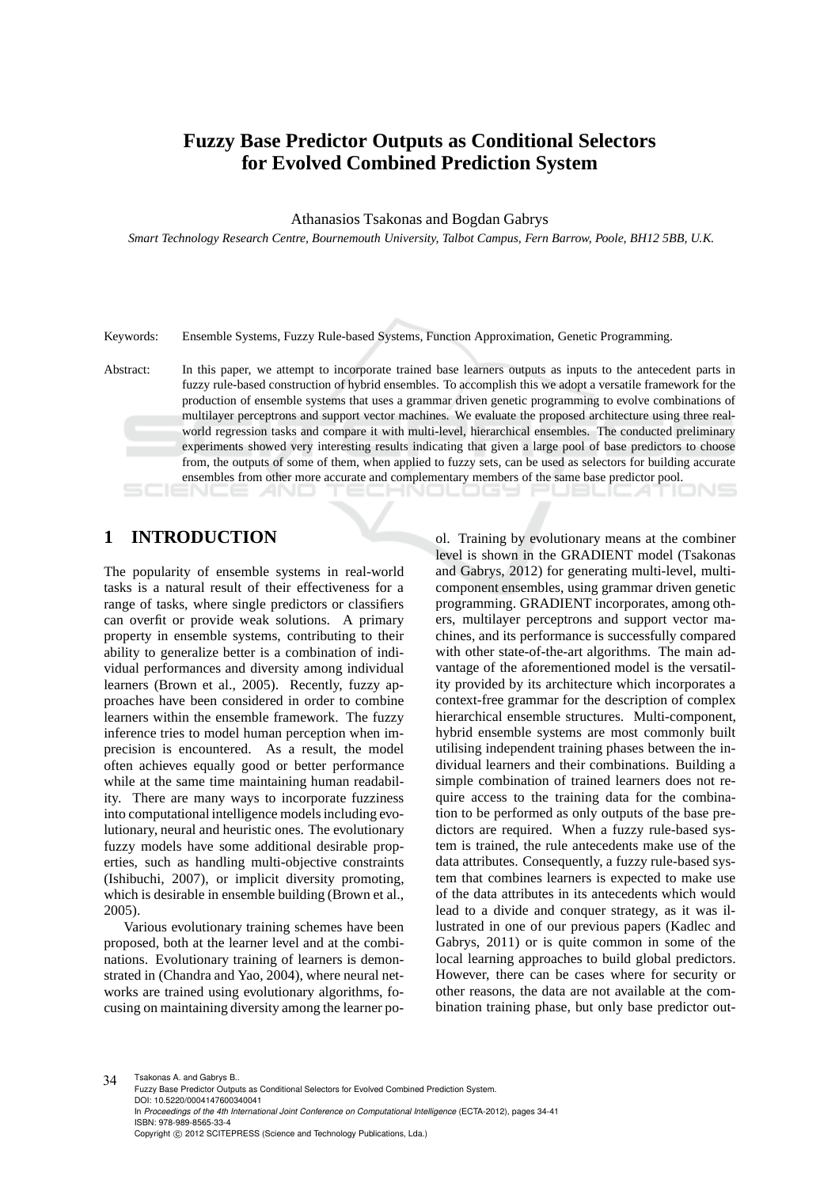# **Fuzzy Base Predictor Outputs as Conditional Selectors for Evolved Combined Prediction System**

Athanasios Tsakonas and Bogdan Gabrys

*Smart Technology Research Centre, Bournemouth University, Talbot Campus, Fern Barrow, Poole, BH12 5BB, U.K.*

Keywords: Ensemble Systems, Fuzzy Rule-based Systems, Function Approximation, Genetic Programming.

Abstract: In this paper, we attempt to incorporate trained base learners outputs as inputs to the antecedent parts in fuzzy rule-based construction of hybrid ensembles. To accomplish this we adopt a versatile framework for the production of ensemble systems that uses a grammar driven genetic programming to evolve combinations of multilayer perceptrons and support vector machines. We evaluate the proposed architecture using three realworld regression tasks and compare it with multi-level, hierarchical ensembles. The conducted preliminary experiments showed very interesting results indicating that given a large pool of base predictors to choose from, the outputs of some of them, when applied to fuzzy sets, can be used as selectors for building accurate ensembles from other more accurate and complementary members of the same base predictor pool.

## **1 INTRODUCTION**

The popularity of ensemble systems in real-world tasks is a natural result of their effectiveness for a range of tasks, where single predictors or classifiers can overfit or provide weak solutions. A primary property in ensemble systems, contributing to their ability to generalize better is a combination of individual performances and diversity among individual learners (Brown et al., 2005). Recently, fuzzy approaches have been considered in order to combine learners within the ensemble framework. The fuzzy inference tries to model human perception when imprecision is encountered. As a result, the model often achieves equally good or better performance while at the same time maintaining human readability. There are many ways to incorporate fuzziness into computational intelligence models including evolutionary, neural and heuristic ones. The evolutionary fuzzy models have some additional desirable properties, such as handling multi-objective constraints (Ishibuchi, 2007), or implicit diversity promoting, which is desirable in ensemble building (Brown et al., 2005).

Various evolutionary training schemes have been proposed, both at the learner level and at the combinations. Evolutionary training of learners is demonstrated in (Chandra and Yao, 2004), where neural networks are trained using evolutionary algorithms, focusing on maintaining diversity among the learner pool. Training by evolutionary means at the combiner level is shown in the GRADIENT model (Tsakonas and Gabrys, 2012) for generating multi-level, multicomponent ensembles, using grammar driven genetic programming. GRADIENT incorporates, among others, multilayer perceptrons and support vector machines, and its performance is successfully compared with other state-of-the-art algorithms. The main advantage of the aforementioned model is the versatility provided by its architecture which incorporates a context-free grammar for the description of complex hierarchical ensemble structures. Multi-component, hybrid ensemble systems are most commonly built utilising independent training phases between the individual learners and their combinations. Building a simple combination of trained learners does not require access to the training data for the combination to be performed as only outputs of the base predictors are required. When a fuzzy rule-based system is trained, the rule antecedents make use of the data attributes. Consequently, a fuzzy rule-based system that combines learners is expected to make use of the data attributes in its antecedents which would lead to a divide and conquer strategy, as it was illustrated in one of our previous papers (Kadlec and Gabrys, 2011) or is quite common in some of the local learning approaches to build global predictors. However, there can be cases where for security or other reasons, the data are not available at the combination training phase, but only base predictor out-

34 Tsakonas A. and Gabrys B.. Fuzzy Base Predictor Outputs as Conditional Selectors for Evolved Combined Prediction System. DOI: 10.5220/0004147600340041 In *Proceedings of the 4th International Joint Conference on Computational Intelligence* (ECTA-2012), pages 34-41 ISBN: 978-989-8565-33-4 Copyright © 2012 SCITEPRESS (Science and Technology Publications, Lda.)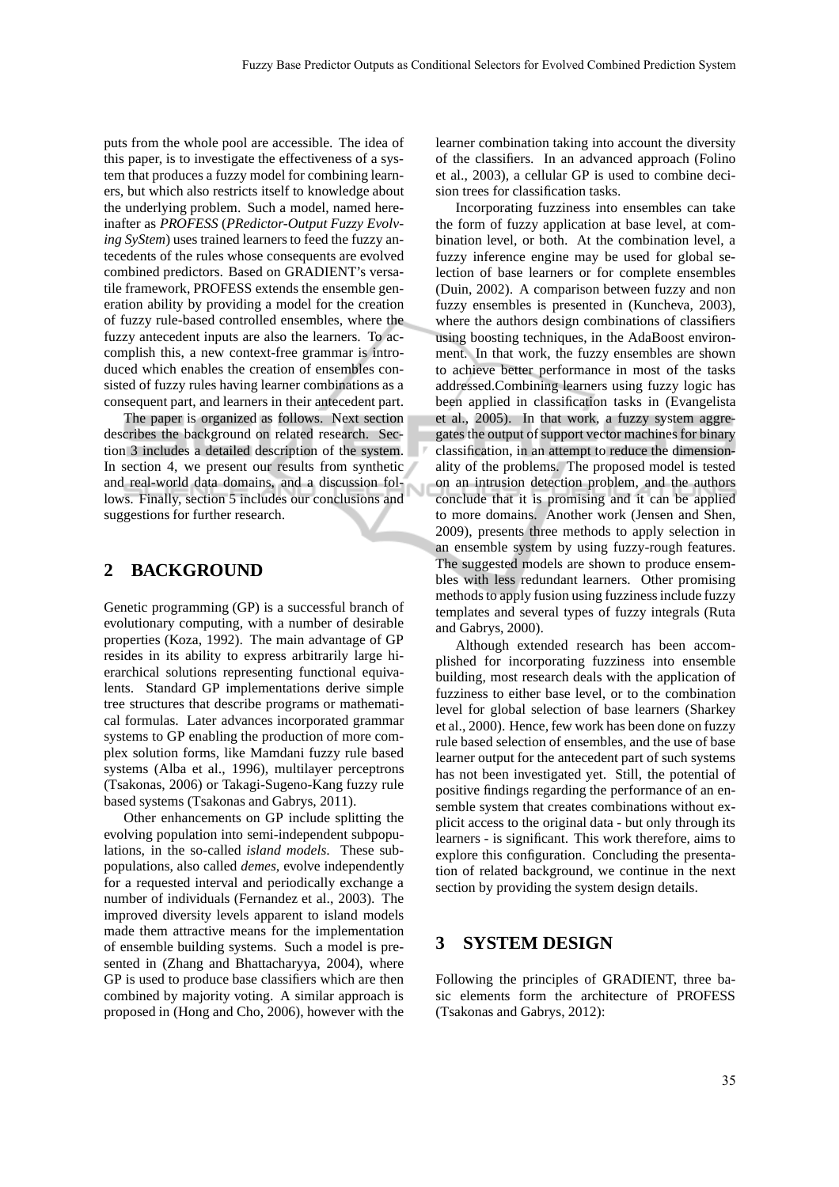puts from the whole pool are accessible. The idea of this paper, is to investigate the effectiveness of a system that produces a fuzzy model for combining learners, but which also restricts itself to knowledge about the underlying problem. Such a model, named hereinafter as *PROFESS* (*PRedictor-Output Fuzzy Evolving SyStem*) uses trained learners to feed the fuzzy antecedents of the rules whose consequents are evolved combined predictors. Based on GRADIENT's versatile framework, PROFESS extends the ensemble generation ability by providing a model for the creation of fuzzy rule-based controlled ensembles, where the fuzzy antecedent inputs are also the learners. To accomplish this, a new context-free grammar is introduced which enables the creation of ensembles consisted of fuzzy rules having learner combinations as a consequent part, and learners in their antecedent part.

The paper is organized as follows. Next section describes the background on related research. Section 3 includes a detailed description of the system. In section 4, we present our results from synthetic and real-world data domains, and a discussion follows. Finally, section 5 includes our conclusions and suggestions for further research.

## **2 BACKGROUND**

Genetic programming (GP) is a successful branch of evolutionary computing, with a number of desirable properties (Koza, 1992). The main advantage of GP resides in its ability to express arbitrarily large hierarchical solutions representing functional equivalents. Standard GP implementations derive simple tree structures that describe programs or mathematical formulas. Later advances incorporated grammar systems to GP enabling the production of more complex solution forms, like Mamdani fuzzy rule based systems (Alba et al., 1996), multilayer perceptrons (Tsakonas, 2006) or Takagi-Sugeno-Kang fuzzy rule based systems (Tsakonas and Gabrys, 2011).

Other enhancements on GP include splitting the evolving population into semi-independent subpopulations, in the so-called *island models*. These subpopulations, also called *demes*, evolve independently for a requested interval and periodically exchange a number of individuals (Fernandez et al., 2003). The improved diversity levels apparent to island models made them attractive means for the implementation of ensemble building systems. Such a model is presented in (Zhang and Bhattacharyya, 2004), where GP is used to produce base classifiers which are then combined by majority voting. A similar approach is proposed in (Hong and Cho, 2006), however with the learner combination taking into account the diversity of the classifiers. In an advanced approach (Folino et al., 2003), a cellular GP is used to combine decision trees for classification tasks.

Incorporating fuzziness into ensembles can take the form of fuzzy application at base level, at combination level, or both. At the combination level, a fuzzy inference engine may be used for global selection of base learners or for complete ensembles (Duin, 2002). A comparison between fuzzy and non fuzzy ensembles is presented in (Kuncheva, 2003), where the authors design combinations of classifiers using boosting techniques, in the AdaBoost environment. In that work, the fuzzy ensembles are shown to achieve better performance in most of the tasks addressed.Combining learners using fuzzy logic has been applied in classification tasks in (Evangelista et al., 2005). In that work, a fuzzy system aggregates the output of support vector machines for binary classification, in an attempt to reduce the dimensionality of the problems. The proposed model is tested on an intrusion detection problem, and the authors conclude that it is promising and it can be applied to more domains. Another work (Jensen and Shen, 2009), presents three methods to apply selection in an ensemble system by using fuzzy-rough features. The suggested models are shown to produce ensembles with less redundant learners. Other promising methods to apply fusion using fuzziness include fuzzy templates and several types of fuzzy integrals (Ruta and Gabrys, 2000).

Although extended research has been accomplished for incorporating fuzziness into ensemble building, most research deals with the application of fuzziness to either base level, or to the combination level for global selection of base learners (Sharkey et al., 2000). Hence, few work has been done on fuzzy rule based selection of ensembles, and the use of base learner output for the antecedent part of such systems has not been investigated yet. Still, the potential of positive findings regarding the performance of an ensemble system that creates combinations without explicit access to the original data - but only through its learners - is significant. This work therefore, aims to explore this configuration. Concluding the presentation of related background, we continue in the next section by providing the system design details.

### **3 SYSTEM DESIGN**

Following the principles of GRADIENT, three basic elements form the architecture of PROFESS (Tsakonas and Gabrys, 2012):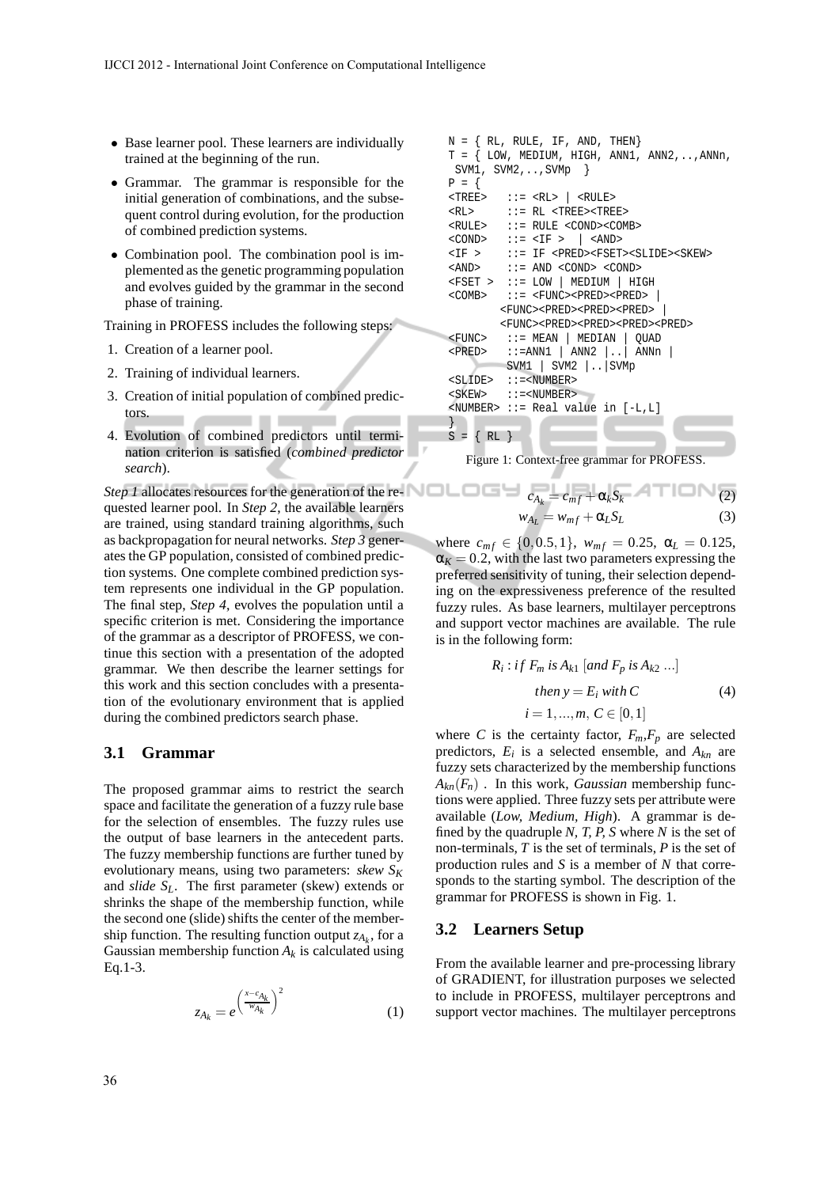- Base learner pool. These learners are individually trained at the beginning of the run.
- Grammar. The grammar is responsible for the initial generation of combinations, and the subsequent control during evolution, for the production of combined prediction systems.
- Combination pool. The combination pool is implemented as the genetic programming population and evolves guided by the grammar in the second phase of training.

Training in PROFESS includes the following steps:

- 1. Creation of a learner pool.
- 2. Training of individual learners.
- 3. Creation of initial population of combined predictors.
- 4. Evolution of combined predictors until termination criterion is satisfied (*combined predictor search*).

*Step 1* allocates resources for the generation of the requested learner pool. In *Step 2*, the available learners are trained, using standard training algorithms, such as backpropagation for neural networks. *Step 3* generates the GP population, consisted of combined prediction systems. One complete combined prediction system represents one individual in the GP population. The final step, *Step 4*, evolves the population until a specific criterion is met. Considering the importance of the grammar as a descriptor of PROFESS, we continue this section with a presentation of the adopted grammar. We then describe the learner settings for this work and this section concludes with a presentation of the evolutionary environment that is applied during the combined predictors search phase.

#### **3.1 Grammar**

The proposed grammar aims to restrict the search space and facilitate the generation of a fuzzy rule base for the selection of ensembles. The fuzzy rules use the output of base learners in the antecedent parts. The fuzzy membership functions are further tuned by evolutionary means, using two parameters: *skew S<sup>K</sup>* and *slide SL*. The first parameter (skew) extends or shrinks the shape of the membership function, while the second one (slide) shifts the center of the membership function. The resulting function output  $z_{A_k}$ , for a Gaussian membership function  $A_k$  is calculated using Eq.1-3.

$$
z_{A_k} = e^{\left(\frac{x - c_{A_k}}{w_{A_k}}\right)^2} \tag{1}
$$

N = { RL, RULE, IF, AND, THEN}  
\nT = { LOW, MEDIUM, HIGH, ANN1, ANN2, ..., ANNn,  
\nSVM1, SVM2, ..., SWP 
$$
}}
$$
  
\nP = {  
\n $\langle$  TREE> :=  $\langle$ RL> =  $\langle$  RULE> =  $\langle$  RULE> =  $\langle$  THE =  $\langle$  CND =  $\langle$  COND =  $\langle$  COND =  $\langle$  COND =  $\langle$  COND =  $\langle$  COND =  $\langle$  COND =  $\langle$  COND =  $\langle$  COND =  $\langle$  COND =  $\langle$  CAND =  $\langle$  COND =  $\langle$  CAND =  $\langle$  COND =  $\langle$  CAND =  $\langle$  COND =  $\langle$  COND =  $\langle$  COND =  $\langle$  COND =  $\langle$  COND =  $\langle$  COND =  $\langle$  COND =  $\langle$  COND =  $\langle$  COND =  $\langle$  COND =  $\langle$  COND =  $\langle$  COND =  $\langle$  COND =  $\langle$  COND =  $\langle$  PRED =  $\langle$  PRED =  $\langle$  PRED =  $\langle$  PRED =  $\langle$  PRED =  $\langle$  PRED =  $\langle$  PRED =  $\langle$  PRED =  $\langle$  PRED =  $\langle$  PRED =  $\langle$  PRED =  $\langle$  PRED =  $\langle$  PRED =  $\langle$  PRED =  $\langle$  PRED =  $\langle$  PRED =  $\langle$  PRED =  $\langle$  PRED =  $\langle$  PRED =  $\langle$  PRED =  $\langle$  PRED =  $\langle$  PRED =  $\langle$  PRED =  $\langle$  PRED =  $\langle$  PRED =  $\langle$  PRED =  $\langle$  PRED =  $\langle$  PRED =  $\langle$  PRED =  $\langle$  PRED =  $\langle$  PRED =  $\langle$  PRED =  $\langle$  PRED =  $\langle$  PRED =  $\langle$  PRED =  $\langle$  P

Figure 1: Context-free grammar for PROFESS.

$$
c_{A_k} = c_{mf} + \alpha_k S_k
$$
  
\n
$$
w_{A_L} = w_{mf} + \alpha_L S_L
$$
 (3)

where  $c_{mf} \in \{0, 0.5, 1\}$ ,  $w_{mf} = 0.25$ ,  $\alpha_L = 0.125$ ,  $\alpha_K = 0.2$ , with the last two parameters expressing the preferred sensitivity of tuning, their selection depending on the expressiveness preference of the resulted fuzzy rules. As base learners, multilayer perceptrons and support vector machines are available. The rule is in the following form:

$$
R_i: if F_m is A_{k1} [and F_p is A_{k2} ...]
$$
  

$$
then y = E_i with C
$$
  

$$
i = 1,...,m, C \in [0,1]
$$
 (4)

where *C* is the certainty factor,  $F_m$ ,  $F_p$  are selected predictors, *E<sup>i</sup>* is a selected ensemble, and *Akn* are fuzzy sets characterized by the membership functions  $A_{kn}(F_n)$ . In this work, *Gaussian* membership functions were applied. Three fuzzy sets per attribute were available (*Low, Medium, High*). A grammar is defined by the quadruple *N, T, P, S* where *N* is the set of non-terminals, *T* is the set of terminals, *P* is the set of production rules and *S* is a member of *N* that corresponds to the starting symbol. The description of the grammar for PROFESS is shown in Fig. 1.

#### **3.2 Learners Setup**

From the available learner and pre-processing library of GRADIENT, for illustration purposes we selected to include in PROFESS, multilayer perceptrons and support vector machines. The multilayer perceptrons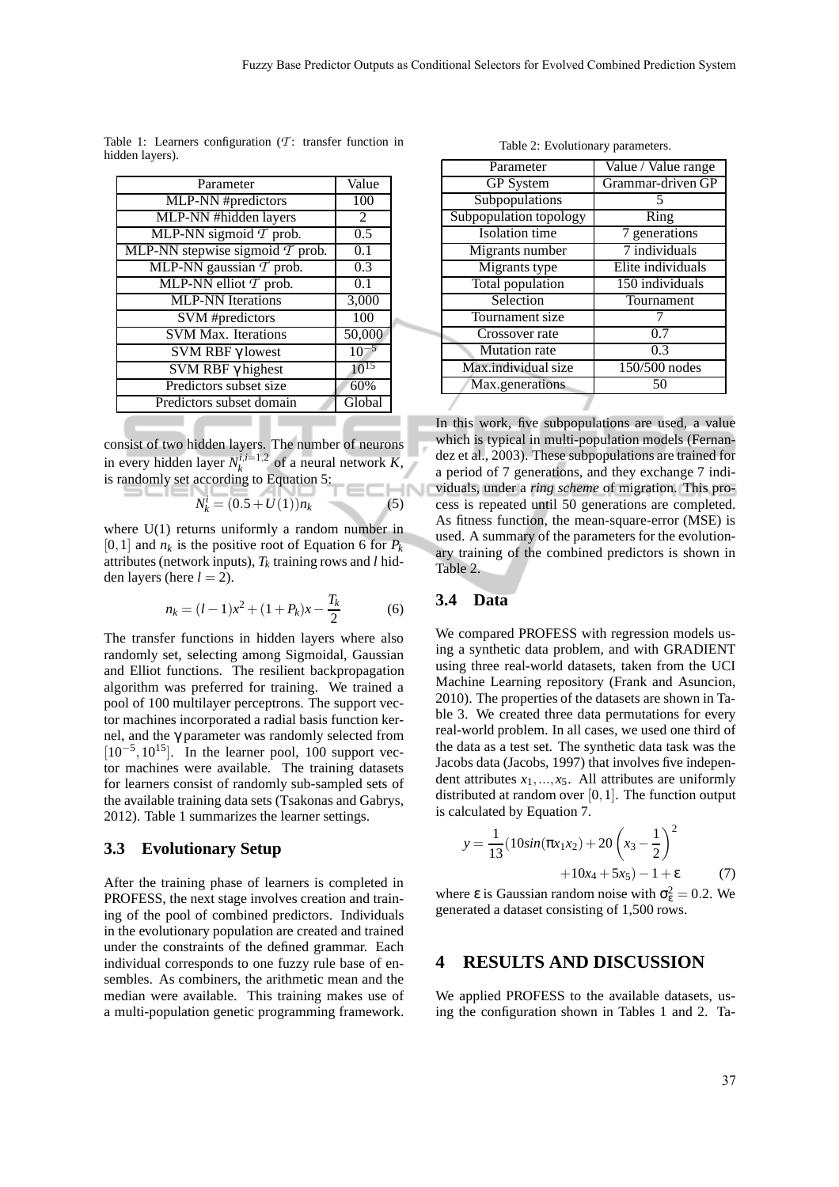| Parameter                                    | Value     |
|----------------------------------------------|-----------|
| MLP-NN #predictors                           | 100       |
| MLP-NN #hidden layers                        | 2         |
| MLP-NN sigmoid $T$ prob.                     | 0.5       |
| MLP-NN stepwise sigmoid $T$ prob.            | 0.1       |
| MLP-NN gaussian $T$ prob.                    | 0.3       |
| MLP-NN elliot $T$ prob.                      | 0.1       |
| <b>MLP-NN</b> Iterations                     | 3,000     |
| SVM #predictors                              | 100       |
| <b>SVM Max.</b> Iterations                   | 50,000    |
| SVM RBF $\gamma$ lowest                      | $10^{-5}$ |
| $\overline{\text{SVM}}$ RBF $\gamma$ highest | $10^{15}$ |
| Predictors subset size                       | 60%       |
| Predictors subset domain                     | Global    |

Table 1: Learners configuration  $(T:$  transfer function in hidden layers).

consist of two hidden layers. The number of neurons in every hidden layer  $N_k^{i,i=1,2}$  of a neural network  $K$ , is randomly set according to Equation 5: N

$$
N_k^i = (0.5 + U(1))n_k
$$
 (5)

where U(1) returns uniformly a random number in  $[0,1]$  and  $n_k$  is the positive root of Equation 6 for  $P_k$ attributes (network inputs), *T<sup>k</sup>* training rows and *l* hidden layers (here  $l = 2$ ).

$$
n_k = (l-1)x^2 + (1+P_k)x - \frac{T_k}{2}
$$
 (6)

The transfer functions in hidden layers where also randomly set, selecting among Sigmoidal, Gaussian and Elliot functions. The resilient backpropagation algorithm was preferred for training. We trained a pool of 100 multilayer perceptrons. The support vector machines incorporated a radial basis function kernel, and the γ parameter was randomly selected from  $[10^{-5}, 10^{15}]$ . In the learner pool, 100 support vector machines were available. The training datasets for learners consist of randomly sub-sampled sets of the available training data sets (Tsakonas and Gabrys, 2012). Table 1 summarizes the learner settings.

#### **3.3 Evolutionary Setup**

After the training phase of learners is completed in PROFESS, the next stage involves creation and training of the pool of combined predictors. Individuals in the evolutionary population are created and trained under the constraints of the defined grammar. Each individual corresponds to one fuzzy rule base of ensembles. As combiners, the arithmetic mean and the median were available. This training makes use of a multi-population genetic programming framework.

|  |  |  | Table 2: Evolutionary parameters. |
|--|--|--|-----------------------------------|
|--|--|--|-----------------------------------|

| Parameter               | Value / Value range |
|-------------------------|---------------------|
| <b>GP</b> System        | Grammar-driven GP   |
| Subpopulations          |                     |
| Subpopulation topology  | Ring                |
| Isolation time          | 7 generations       |
| Migrants number         | 7 individuals       |
| Migrants type           | Elite individuals   |
| <b>Total population</b> | 150 individuals     |
| Selection               | Tournament          |
| Tournament size         |                     |
| Crossover rate          | 0.7                 |
| Mutation rate           | 0.3                 |
| Max.individual size     | 150/500 nodes       |
| Max.generations         | 50                  |
|                         |                     |

In this work, five subpopulations are used, a value which is typical in multi-population models (Fernandez et al., 2003). These subpopulations are trained for a period of 7 generations, and they exchange 7 individuals, under a *ring scheme* of migration. This process is repeated until 50 generations are completed. As fitness function, the mean-square-error (MSE) is used. A summary of the parameters for the evolutionary training of the combined predictors is shown in Table 2.

#### **3.4 Data**

We compared PROFESS with regression models using a synthetic data problem, and with GRADIENT using three real-world datasets, taken from the UCI Machine Learning repository (Frank and Asuncion, 2010). The properties of the datasets are shown in Table 3. We created three data permutations for every real-world problem. In all cases, we used one third of the data as a test set. The synthetic data task was the Jacobs data (Jacobs, 1997) that involves five independent attributes  $x_1, \ldots, x_5$ . All attributes are uniformly distributed at random over [0,1]. The function output is calculated by Equation 7.

$$
y = \frac{1}{13} (10\sin(\pi x_1 x_2) + 20\left(x_3 - \frac{1}{2}\right)^2 + 10x_4 + 5x_5) - 1 + \epsilon
$$
 (7)

where  $\varepsilon$  is Gaussian random noise with  $\sigma_{\varepsilon}^2 = 0.2$ . We generated a dataset consisting of 1,500 rows.

## **4 RESULTS AND DISCUSSION**

We applied PROFESS to the available datasets, using the configuration shown in Tables 1 and 2. Ta-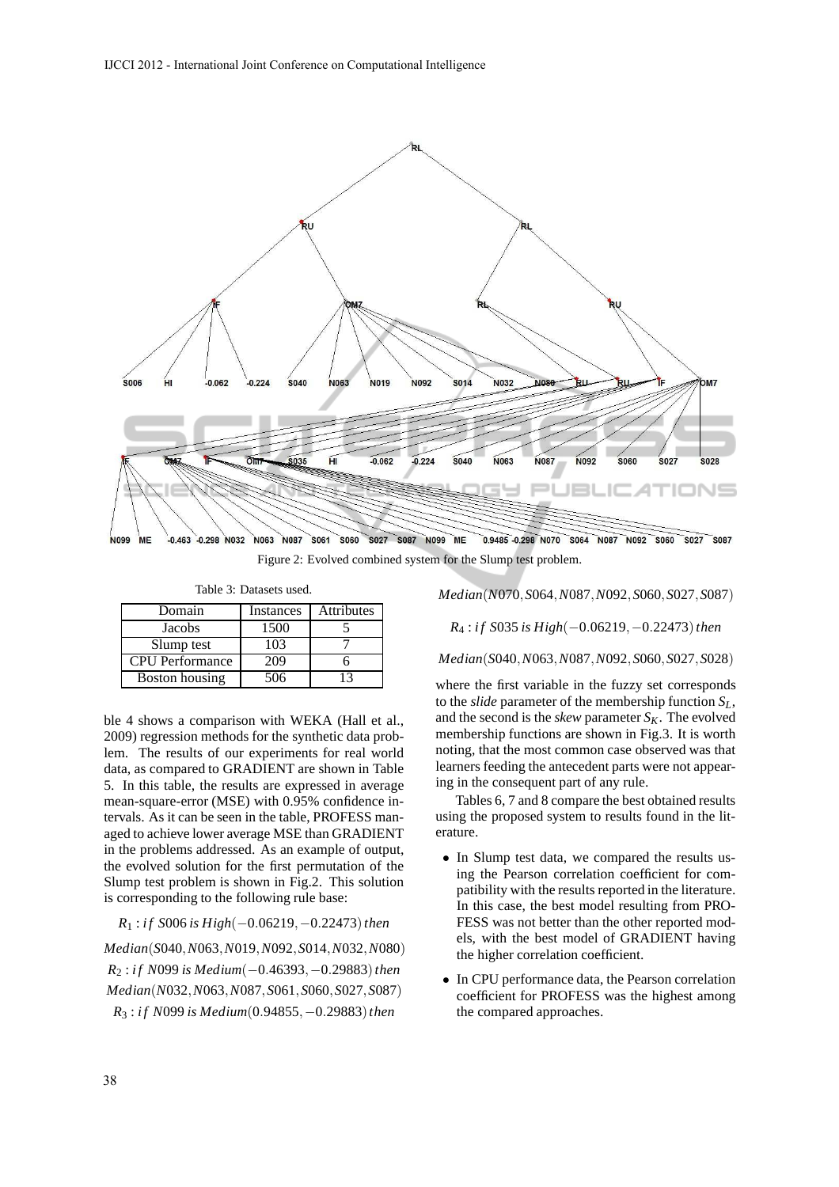

Figure 2: Evolved combined system for the Slump test problem.

Table 3: Datasets used.

| Domain                 | Instances | Attributes |
|------------------------|-----------|------------|
| Jacobs                 | 1500      |            |
| Slump test             | 103       |            |
| <b>CPU</b> Performance | 209       |            |
| <b>Boston housing</b>  | 506       |            |

ble 4 shows a comparison with WEKA (Hall et al., 2009) regression methods for the synthetic data problem. The results of our experiments for real world data, as compared to GRADIENT are shown in Table 5. In this table, the results are expressed in average mean-square-error (MSE) with 0.95% confidence intervals. As it can be seen in the table, PROFESS managed to achieve lower average MSE than GRADIENT in the problems addressed. As an example of output, the evolved solution for the first permutation of the Slump test problem is shown in Fig.2. This solution is corresponding to the following rule base:

*R*<sub>1</sub> : *if* S006 *is High*(−0.06219, −0.22473) *then* 

*Median*(*S*040,*N*063,*N*019,*N*092,*S*014,*N*032,*N*080) *R*<sub>2</sub> : *if* N099 *is Medium*(−0.46393,−0.29883) *then Median*(*N*032,*N*063,*N*087,*S*061,*S*060,*S*027,*S*087) *R*<sup>3</sup> : *i f N*099 *is Medium*(0.94855,−0.29883)*then*

*Median*(*N*070,*S*064,*N*087,*N*092,*S*060,*S*027,*S*087)

*R*<sup>4</sup> : *i f S*035 *is High*(−0.06219,−0.22473)*then*

*Median*(*S*040,*N*063,*N*087,*N*092,*S*060,*S*027,*S*028)

where the first variable in the fuzzy set corresponds to the *slide* parameter of the membership function  $S_L$ , and the second is the *skew* parameter  $S_K$ . The evolved membership functions are shown in Fig.3. It is worth noting, that the most common case observed was that learners feeding the antecedent parts were not appearing in the consequent part of any rule.

Tables 6, 7 and 8 compare the best obtained results using the proposed system to results found in the literature.

- In Slump test data, we compared the results using the Pearson correlation coefficient for compatibility with the results reported in the literature. In this case, the best model resulting from PRO-FESS was not better than the other reported models, with the best model of GRADIENT having the higher correlation coefficient.
- In CPU performance data, the Pearson correlation coefficient for PROFESS was the highest among the compared approaches.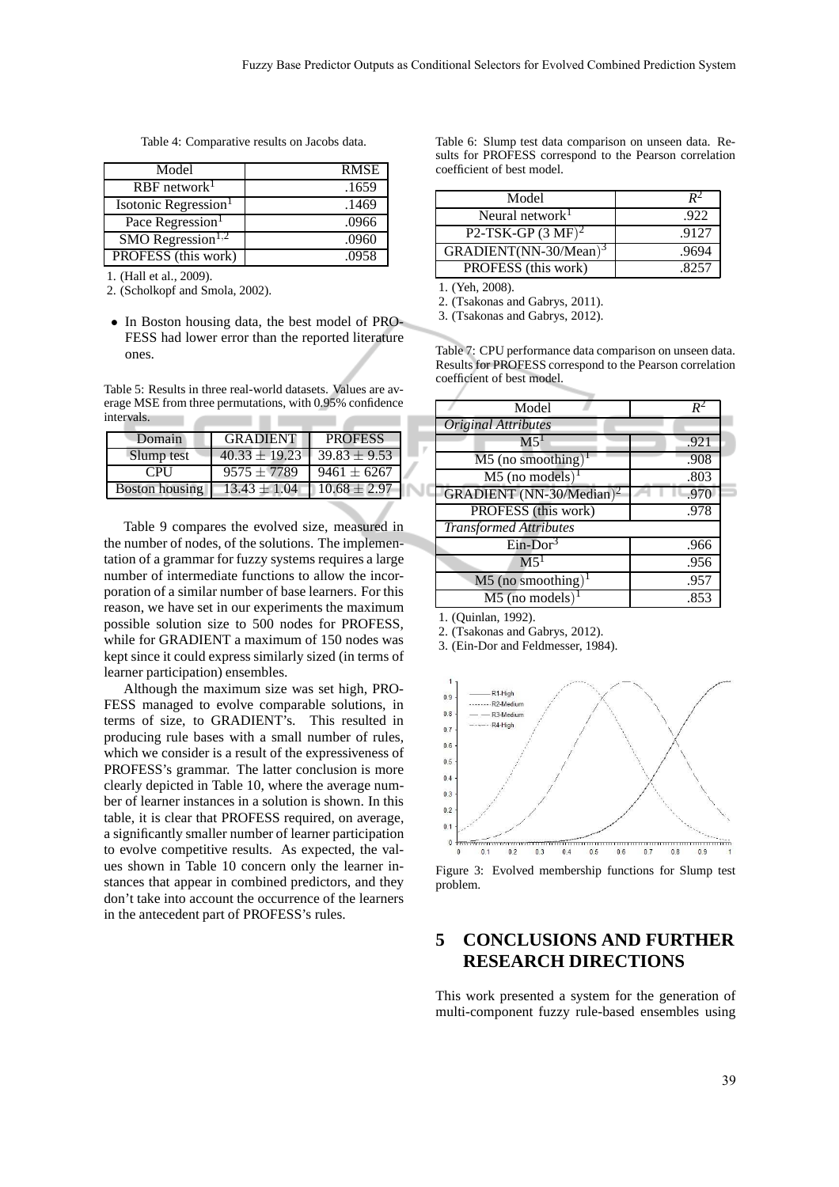| Model                            | <b>RMSE</b> |
|----------------------------------|-------------|
| $RBF$ network <sup>1</sup>       | .1659       |
| Isotonic Regression <sup>1</sup> | .1469       |
| Pace Regression <sup>1</sup>     | .0966       |
| SMO Regression <sup>1,2</sup>    | .0960       |
| PROFESS (this work)              | .0958       |

1. (Hall et al., 2009).

2. (Scholkopf and Smola, 2002).

• In Boston housing data, the best model of PRO-FESS had lower error than the reported literature ones.

Table 5: Results in three real-world datasets. Values are average MSE from three permutations, with 0.95% confidence intervals.

| Domain                | <b>GRADIENT</b>  | <b>PROFESS</b>  |  |
|-----------------------|------------------|-----------------|--|
| Slump test            | $40.33 + 19.23$  | $39.83 + 9.53$  |  |
| <b>CPU</b>            | $9575 + 7789$    | $9461 \pm 6267$ |  |
| <b>Boston housing</b> | $13.43 \pm 1.04$ | $10.68 + 2.97$  |  |

Table 9 compares the evolved size, measured in the number of nodes, of the solutions. The implementation of a grammar for fuzzy systems requires a large number of intermediate functions to allow the incorporation of a similar number of base learners. For this reason, we have set in our experiments the maximum possible solution size to 500 nodes for PROFESS, while for GRADIENT a maximum of 150 nodes was kept since it could express similarly sized (in terms of learner participation) ensembles.

Although the maximum size was set high, PRO-FESS managed to evolve comparable solutions, in terms of size, to GRADIENT's. This resulted in producing rule bases with a small number of rules, which we consider is a result of the expressiveness of PROFESS's grammar. The latter conclusion is more clearly depicted in Table 10, where the average number of learner instances in a solution is shown. In this table, it is clear that PROFESS required, on average, a significantly smaller number of learner participation to evolve competitive results. As expected, the values shown in Table 10 concern only the learner instances that appear in combined predictors, and they don't take into account the occurrence of the learners in the antecedent part of PROFESS's rules.

Table 6: Slump test data comparison on unseen data. Results for PROFESS correspond to the Pearson correlation coefficient of best model.

| Model                           | ₽2    |
|---------------------------------|-------|
| Neural network $1$              | .922  |
| P2-TSK-GP $(3 \overline{MF})^2$ | .9127 |
| $GRADIENT(NN-30/Mean)^3$        | .9694 |
| PROFESS (this work)             | 8257  |

1. (Yeh, 2008).

2. (Tsakonas and Gabrys, 2011).

3. (Tsakonas and Gabrys, 2012).

Table 7: CPU performance data comparison on unseen data. Results for PROFESS correspond to the Pearson correlation coefficient of best model.

| Model                                | $R^2$ |
|--------------------------------------|-------|
| <b>Original Attributes</b>           |       |
| M5 <sup>1</sup>                      | .921  |
| $M5$ (no smoothing)                  | .908  |
| M5 (no models)                       | .803  |
| GRADIENT (NN-30/Median) <sup>2</sup> | .970  |
| PROFESS (this work)                  | .978  |
| <b>Transformed Attributes</b>        |       |
| $Ein-Dor3$                           | .966  |
| M5 <sup>1</sup>                      | .956  |
| $M5$ (no smoothing) <sup>1</sup>     | .957  |
| $M5$ (no models) <sup>1</sup>        | .853  |

1. (Quinlan, 1992).

2. (Tsakonas and Gabrys, 2012).

3. (Ein-Dor and Feldmesser, 1984).



Figure 3: Evolved membership functions for Slump test problem.

## **5 CONCLUSIONS AND FURTHER RESEARCH DIRECTIONS**

This work presented a system for the generation of multi-component fuzzy rule-based ensembles using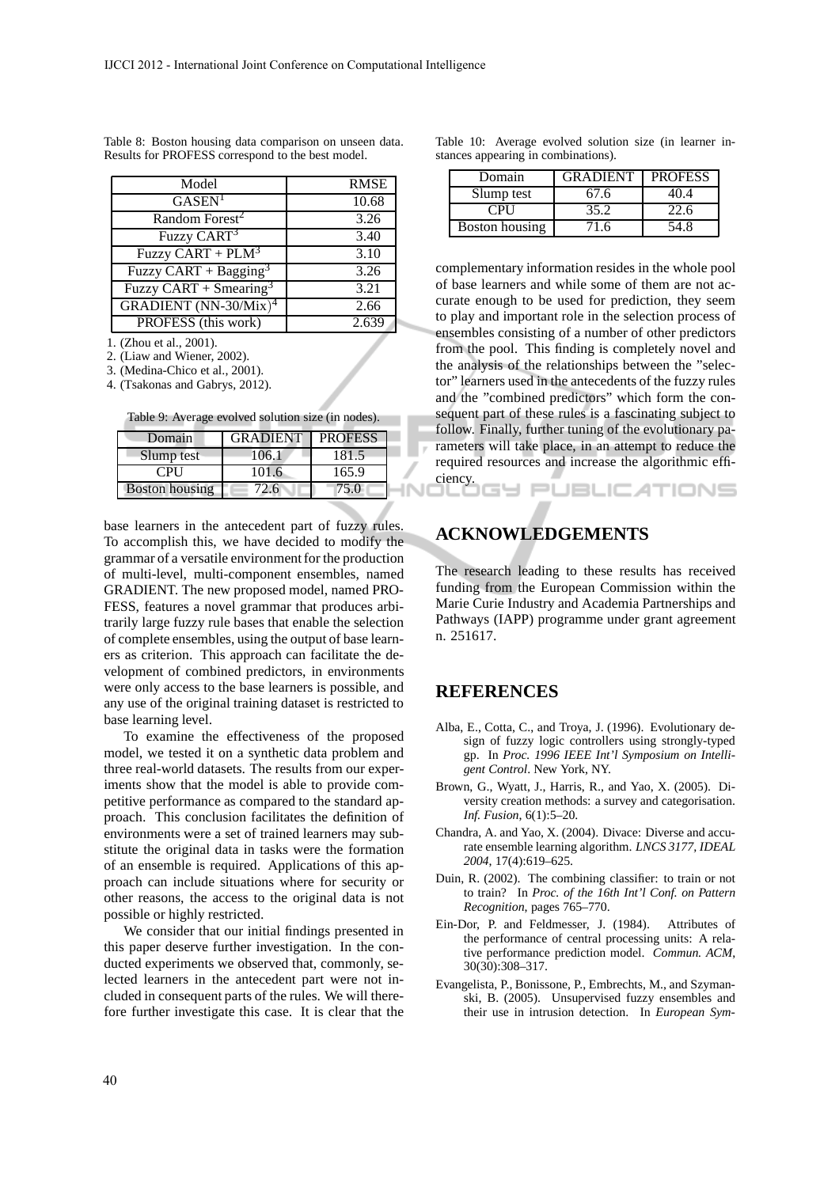| Model                              | <b>RMSE</b> |
|------------------------------------|-------------|
| GASEN <sup>1</sup>                 | 10.68       |
| Random Forest <sup>2</sup>         | 3.26        |
| Fuzzy CART <sup>3</sup>            | 3.40        |
| Fuzzy CART + $PLM^3$               | 3.10        |
| Fuzzy CART + Bagging <sup>3</sup>  | 3.26        |
| Fuzzy CART + Smearing <sup>3</sup> | 3.21        |
| GRADIENT (NN-30/Mix) <sup>4</sup>  | 2.66        |
| PROFESS (this work)                | 2.639       |

Table 8: Boston housing data comparison on unseen data. Results for PROFESS correspond to the best model.

1. (Zhou et al., 2001).

2. (Liaw and Wiener, 2002).

3. (Medina-Chico et al., 2001).

4. (Tsakonas and Gabrys, 2012).

| Table 9: Average evolved solution size (in nodes). |  |  |  |  |  |  |  |
|----------------------------------------------------|--|--|--|--|--|--|--|
|----------------------------------------------------|--|--|--|--|--|--|--|

| Domain                | <b>GRADIENT</b> | <b>PROFESS</b> |
|-----------------------|-----------------|----------------|
| Slump test            | 106.1           | 181.5          |
| CPU                   | 101.6           | 165.9          |
| <b>Boston housing</b> | 72.6            | 75.0           |

base learners in the antecedent part of fuzzy rules. To accomplish this, we have decided to modify the grammar of a versatile environment for the production of multi-level, multi-component ensembles, named GRADIENT. The new proposed model, named PRO-FESS, features a novel grammar that produces arbitrarily large fuzzy rule bases that enable the selection of complete ensembles, using the output of base learners as criterion. This approach can facilitate the development of combined predictors, in environments were only access to the base learners is possible, and any use of the original training dataset is restricted to base learning level.

To examine the effectiveness of the proposed model, we tested it on a synthetic data problem and three real-world datasets. The results from our experiments show that the model is able to provide competitive performance as compared to the standard approach. This conclusion facilitates the definition of environments were a set of trained learners may substitute the original data in tasks were the formation of an ensemble is required. Applications of this approach can include situations where for security or other reasons, the access to the original data is not possible or highly restricted.

We consider that our initial findings presented in this paper deserve further investigation. In the conducted experiments we observed that, commonly, selected learners in the antecedent part were not included in consequent parts of the rules. We will therefore further investigate this case. It is clear that the

|  | Table 10: Average evolved solution size (in learner in- |  |  |  |
|--|---------------------------------------------------------|--|--|--|
|  | stances appearing in combinations).                     |  |  |  |

| Domain                | <b>GRADIENT</b> | <b>PROFESS</b> |
|-----------------------|-----------------|----------------|
| Slump test            | 67.6            | 40.4           |
| CPU                   | 35.2            | 22.6           |
| <b>Boston housing</b> | 71.6            | 54.8           |

complementary information resides in the whole pool of base learners and while some of them are not accurate enough to be used for prediction, they seem to play and important role in the selection process of ensembles consisting of a number of other predictors from the pool. This finding is completely novel and the analysis of the relationships between the "selector" learners used in the antecedents of the fuzzy rules and the "combined predictors" which form the consequent part of these rules is a fascinating subject to follow. Finally, further tuning of the evolutionary parameters will take place, in an attempt to reduce the required resources and increase the algorithmic efficiency. IGY PUBLIC ATIONS

## **ACKNOWLEDGEMENTS**

The research leading to these results has received funding from the European Commission within the Marie Curie Industry and Academia Partnerships and Pathways (IAPP) programme under grant agreement n. 251617.

## **REFERENCES**

- Alba, E., Cotta, C., and Troya, J. (1996). Evolutionary design of fuzzy logic controllers using strongly-typed gp. In *Proc. 1996 IEEE Int'l Symposium on Intelligent Control*. New York, NY.
- Brown, G., Wyatt, J., Harris, R., and Yao, X. (2005). Diversity creation methods: a survey and categorisation. *Inf. Fusion*, 6(1):5–20.
- Chandra, A. and Yao, X. (2004). Divace: Diverse and accurate ensemble learning algorithm. *LNCS 3177, IDEAL 2004*, 17(4):619–625.
- Duin, R. (2002). The combining classifier: to train or not to train? In *Proc. of the 16th Int'l Conf. on Pattern Recognition*, pages 765–770.
- Ein-Dor, P. and Feldmesser, J. (1984). Attributes of the performance of central processing units: A relative performance prediction model. *Commun. ACM*, 30(30):308–317.
- Evangelista, P., Bonissone, P., Embrechts, M., and Szymanski, B. (2005). Unsupervised fuzzy ensembles and their use in intrusion detection. In *European Sym-*